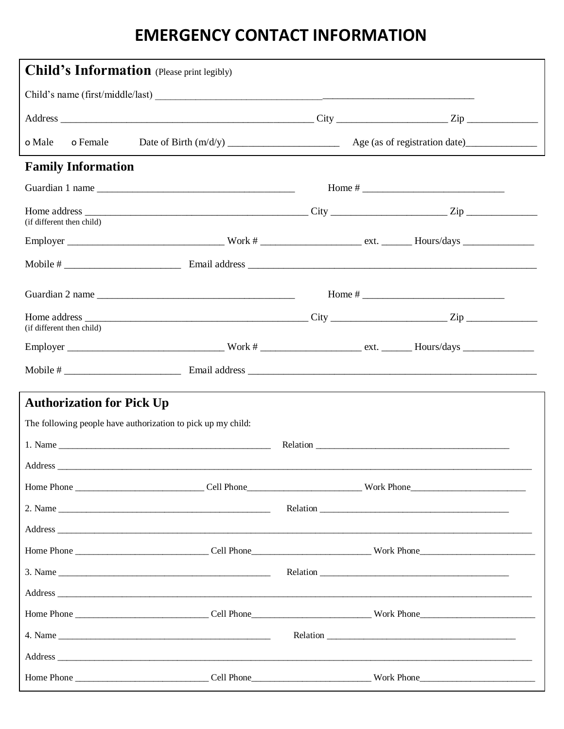## **EMERGENCY CONTACT INFORMATION**

| <b>Child's Information</b> (Please print legibly)                                                |  |  |
|--------------------------------------------------------------------------------------------------|--|--|
|                                                                                                  |  |  |
|                                                                                                  |  |  |
| o Male<br>o Female                                                                               |  |  |
| <b>Family Information</b>                                                                        |  |  |
|                                                                                                  |  |  |
| (if different then child)                                                                        |  |  |
|                                                                                                  |  |  |
|                                                                                                  |  |  |
| Guardian 2 name                                                                                  |  |  |
| (if different then child)                                                                        |  |  |
|                                                                                                  |  |  |
|                                                                                                  |  |  |
| <b>Authorization for Pick Up</b><br>The following people have authorization to pick up my child: |  |  |
|                                                                                                  |  |  |
| Address                                                                                          |  |  |
|                                                                                                  |  |  |
|                                                                                                  |  |  |
|                                                                                                  |  |  |
|                                                                                                  |  |  |
|                                                                                                  |  |  |
|                                                                                                  |  |  |
|                                                                                                  |  |  |
|                                                                                                  |  |  |
|                                                                                                  |  |  |
|                                                                                                  |  |  |